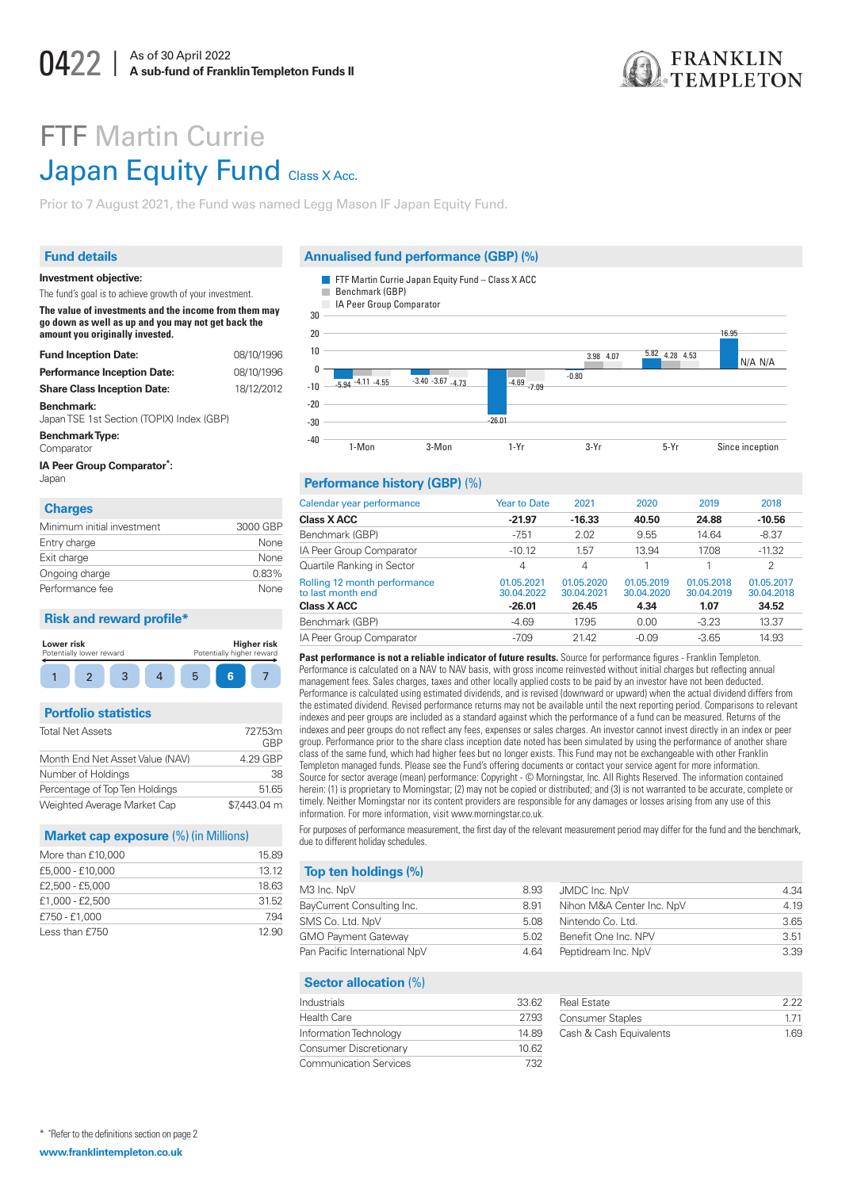

# **FTF Martin Currie Japan Equity Fund Class X Acc.**

Prior to 7 August 2021, the Fund was named Legg Mason IF Japan Equity Fund.

## **Fund details**

## Annualised fund performance (GBP) (%)

FTF Martin Currie Japan Equity Fund - Class X ACC



#### Performance history (GBP) (%)

| Calendar year performance                         | <b>Year to Date</b>      | 2021                     | 2020                     | 2019                     | 2018                     |
|---------------------------------------------------|--------------------------|--------------------------|--------------------------|--------------------------|--------------------------|
| <b>Class X ACC</b>                                | $-21.97$                 | $-16.33$                 | 40.50                    | 24.88                    | $-10.56$                 |
| Benchmark (GBP)                                   | $-7.51$                  | 2.02                     | 9.55                     | 14.64                    | $-8.37$                  |
| IA Peer Group Comparator                          | $-10.12$                 | 1.57                     | 13.94                    | 17.08                    | $-11.32$                 |
| Quartile Ranking in Sector                        | 4                        | $\overline{4}$           |                          |                          | $\overline{2}$           |
| Rolling 12 month performance<br>to last month end | 01.05.2021<br>30.04.2022 | 01.05.2020<br>30.04.2021 | 01.05.2019<br>30.04.2020 | 01.05.2018<br>30.04.2019 | 01.05.2017<br>30.04.2018 |
| <b>Class X ACC</b>                                | $-26.01$                 | 26.45                    | 4.34                     | 1.07                     | 34.52                    |
| Benchmark (GBP)                                   | $-4.69$                  | 17.95                    | 0.00                     | $-3.23$                  | 13.37                    |
| IA Peer Group Comparator                          | $-7.09$                  | 21.42                    | $-0.09$                  | $-3.65$                  | 14.93                    |
|                                                   |                          |                          |                          |                          |                          |

Past performance is not a reliable indicator of future results. Source for performance figures - Franklin Templeton. Performance is calculated on a NAV to NAV basis, with gross income reinvested without initial charges but reflecting annual management fees. Sales charges, taxes and other locally applied costs to be paid by an investor have not been deducted. Performance is calculated using estimated dividends, and is revised (downward or upward) when the actual dividend differs from the estimated dividend. Revised performance returns may not be available until the next reporting period. Comparisons to relevant indexes and peer groups are included as a standard against which the performance of a fund can be measured. Returns of the indexes and peer groups do not reflect any fees, expenses or sales charges. An investor cannot invest directly in an index or peer group. Performance prior to the share class inception date noted has been simulated by using the performance of another share class of the same fund, which had higher fees but no longer exists. This Fund may not be exchangeable with other Franklin Templeton managed funds. Please see the Fund's offering documents or contact your service agent for more information. Source for sector average (mean) performance: Copyright - © Morningstar, Inc. All Rights Reserved. The information contained herein: (1) is proprietary to Morningstar; (2) may not be copied or distributed; and (3) is not warranted to be accurate, complete or timely. Neither Morningstar nor its content providers are responsible for any damages or losses arising from any use of this information. For more information, visit www.morningstar.co.uk.

For purposes of performance measurement, the first day of the relevant measurement period may differ for the fund and the benchmark, due to different holiday schedules.

## Top ten holdings (%)

| VI3 Inc. NpV                  | 8.93 | JMDC Inc. NpV             |
|-------------------------------|------|---------------------------|
| BayCurrent Consulting Inc.    | 8.91 | Nihon M&A Center Inc. NpV |
| SMS Co. Ltd. NpV              | 5.08 | Nintendo Co. Ltd.         |
| <b>GMO Payment Gateway</b>    | 5.02 | Benefit One Inc. NPV      |
| Pan Pacific International NpV | 4.64 | Peptidream Inc. NpV       |

## **Sector allocation (%)**

| Industrials                   | 33.62 |
|-------------------------------|-------|
| <b>Health Care</b>            | 2793  |
| Information Technology        | 14.89 |
| Consumer Discretionary        | 10.62 |
| <b>Communication Services</b> | 732   |

| Real Estate             | つ つつ |
|-------------------------|------|
| <b>Consumer Staples</b> | 171  |
| Cash & Cash Equivalents | 169  |

4.34  $\overline{419}$ 

 $365$ 

 $3.51$ 

3.39

#### Investment objective: The fund's goal is to achieve growth of your investment.

The value of investments and the income from them may go down as well as up and you may not get back the amount you originally invested.

| <b>Fund Inception Date:</b>                             | 08/10/19 |
|---------------------------------------------------------|----------|
| <b>Performance Inception Date:</b>                      | 08/10/19 |
| <b>Share Class Inception Date:</b>                      | 18/12/20 |
| Benchmark:<br>Japan TSE 1st Section (TOPIX) Index (GBP) |          |
| <b>Benchmark Type:</b>                                  |          |

## Comparator

```
IA Peer Group Comparator*:
```
Japan

## **Charges**

| Minimum initial investment | 3000 GBP |
|----------------------------|----------|
| Entry charge               | None     |
| Exit charge                | None     |
| Ongoing charge             | 0.83%    |
| Performance fee            | None     |

#### **Risk and reward profile\***

| Lower risk<br>Potentially lower reward |  |  | Potentially higher reward | Higher risk |  |
|----------------------------------------|--|--|---------------------------|-------------|--|
|                                        |  |  |                           |             |  |

#### **Portfolio statistics**

| Total Net Assets                | 727.53m<br>GRP |
|---------------------------------|----------------|
| Month End Net Asset Value (NAV) | 4.29 GBP       |
| Number of Holdings              | 38             |
| Percentage of Top Ten Holdings  | 51.65          |
| Weighted Average Market Cap     | \$7,443.04 m   |

#### Market cap exposure (%) (in Millions)

| More than £10,000 | 15.89 |
|-------------------|-------|
| £5,000 - £10,000  | 13.12 |
| £2,500 - £5,000   | 18.63 |
| £1,000 - £2,500   | 31.52 |
| £750 - £1,000     | 7.94  |
| Less than £750    | 12.90 |